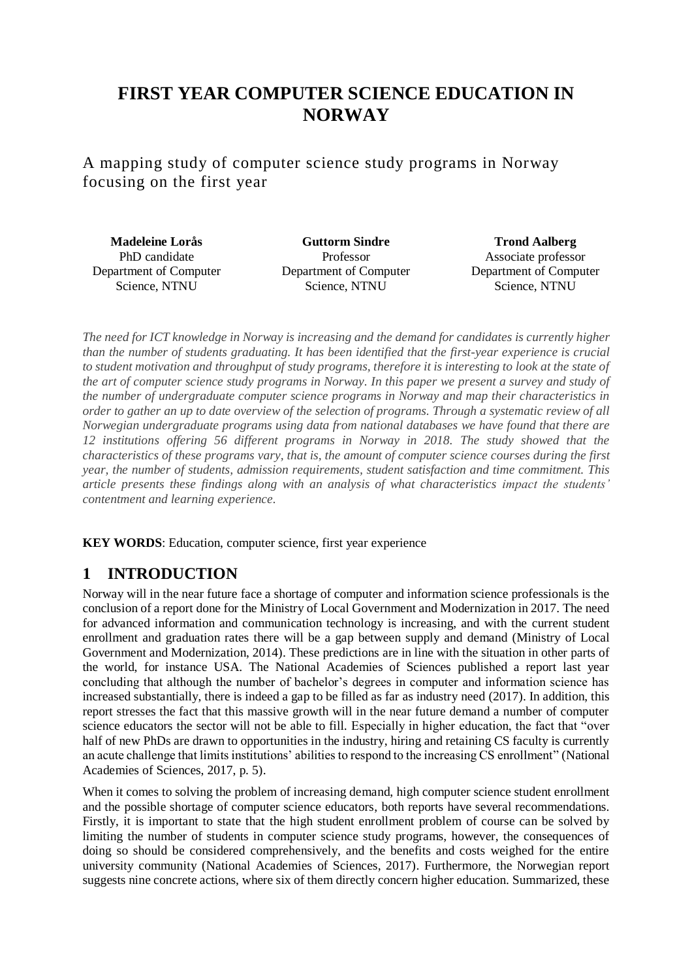# **FIRST YEAR COMPUTER SCIENCE EDUCATION IN NORWAY**

A mapping study of computer science study programs in Norway focusing on the first year

**Madeleine Lorås** PhD candidate Department of Computer Science, NTNU

**Guttorm Sindre** Professor Department of Computer Science, NTNU

**Trond Aalberg** Associate professor Department of Computer Science, NTNU

*The need for ICT knowledge in Norway is increasing and the demand for candidates is currently higher than the number of students graduating. It has been identified that the first-year experience is crucial to student motivation and throughput of study programs, therefore it is interesting to look at the state of the art of computer science study programs in Norway. In this paper we present a survey and study of the number of undergraduate computer science programs in Norway and map their characteristics in order to gather an up to date overview of the selection of programs. Through a systematic review of all Norwegian undergraduate programs using data from national databases we have found that there are 12 institutions offering 56 different programs in Norway in 2018. The study showed that the characteristics of these programs vary, that is, the amount of computer science courses during the first year, the number of students, admission requirements, student satisfaction and time commitment. This article presents these findings along with an analysis of what characteristics impact the students' contentment and learning experience.*

**KEY WORDS**: Education, computer science, first year experience

# **1 INTRODUCTION**

Norway will in the near future face a shortage of computer and information science professionals is the conclusion of a report done for the Ministry of Local Government and Modernization in 2017. The need for advanced information and communication technology is increasing, and with the current student enrollment and graduation rates there will be a gap between supply and demand (Ministry of Local Government and Modernization, 2014). These predictions are in line with the situation in other parts of the world, for instance USA. The National Academies of Sciences published a report last year concluding that although the number of bachelor's degrees in computer and information science has increased substantially, there is indeed a gap to be filled as far as industry need (2017). In addition, this report stresses the fact that this massive growth will in the near future demand a number of computer science educators the sector will not be able to fill. Especially in higher education, the fact that "over half of new PhDs are drawn to opportunities in the industry, hiring and retaining CS faculty is currently an acute challenge that limits institutions' abilities to respond to the increasing CS enrollment" (National Academies of Sciences, 2017, p. 5).

When it comes to solving the problem of increasing demand, high computer science student enrollment and the possible shortage of computer science educators, both reports have several recommendations. Firstly, it is important to state that the high student enrollment problem of course can be solved by limiting the number of students in computer science study programs, however, the consequences of doing so should be considered comprehensively, and the benefits and costs weighed for the entire university community (National Academies of Sciences, 2017). Furthermore, the Norwegian report suggests nine concrete actions, where six of them directly concern higher education. Summarized, these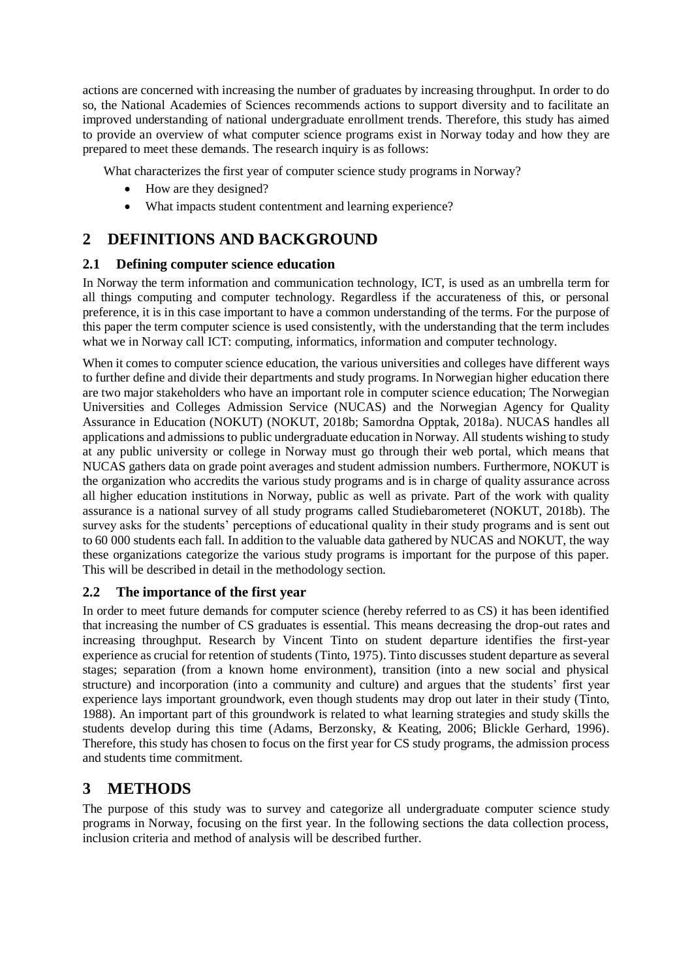actions are concerned with increasing the number of graduates by increasing throughput. In order to do so, the National Academies of Sciences recommends actions to support diversity and to facilitate an improved understanding of national undergraduate enrollment trends. Therefore, this study has aimed to provide an overview of what computer science programs exist in Norway today and how they are prepared to meet these demands. The research inquiry is as follows:

What characterizes the first year of computer science study programs in Norway?

- How are they designed?
- What impacts student contentment and learning experience?

# **2 DEFINITIONS AND BACKGROUND**

### **2.1 Defining computer science education**

In Norway the term information and communication technology, ICT, is used as an umbrella term for all things computing and computer technology. Regardless if the accurateness of this, or personal preference, it is in this case important to have a common understanding of the terms. For the purpose of this paper the term computer science is used consistently, with the understanding that the term includes what we in Norway call ICT: computing, informatics, information and computer technology.

When it comes to computer science education, the various universities and colleges have different ways to further define and divide their departments and study programs. In Norwegian higher education there are two major stakeholders who have an important role in computer science education; The Norwegian Universities and Colleges Admission Service (NUCAS) and the Norwegian Agency for Quality Assurance in Education (NOKUT) (NOKUT, 2018b; Samordna Opptak, 2018a). NUCAS handles all applications and admissions to public undergraduate education in Norway. All students wishing to study at any public university or college in Norway must go through their web portal, which means that NUCAS gathers data on grade point averages and student admission numbers. Furthermore, NOKUT is the organization who accredits the various study programs and is in charge of quality assurance across all higher education institutions in Norway, public as well as private. Part of the work with quality assurance is a national survey of all study programs called Studiebarometeret (NOKUT, 2018b). The survey asks for the students' perceptions of educational quality in their study programs and is sent out to 60 000 students each fall. In addition to the valuable data gathered by NUCAS and NOKUT, the way these organizations categorize the various study programs is important for the purpose of this paper. This will be described in detail in the methodology section.

### **2.2 The importance of the first year**

In order to meet future demands for computer science (hereby referred to as CS) it has been identified that increasing the number of CS graduates is essential. This means decreasing the drop-out rates and increasing throughput. Research by Vincent Tinto on student departure identifies the first-year experience as crucial for retention of students (Tinto, 1975). Tinto discusses student departure as several stages; separation (from a known home environment), transition (into a new social and physical structure) and incorporation (into a community and culture) and argues that the students' first year experience lays important groundwork, even though students may drop out later in their study (Tinto, 1988). An important part of this groundwork is related to what learning strategies and study skills the students develop during this time (Adams, Berzonsky, & Keating, 2006; Blickle Gerhard, 1996). Therefore, this study has chosen to focus on the first year for CS study programs, the admission process and students time commitment.

# **3 METHODS**

The purpose of this study was to survey and categorize all undergraduate computer science study programs in Norway, focusing on the first year. In the following sections the data collection process, inclusion criteria and method of analysis will be described further.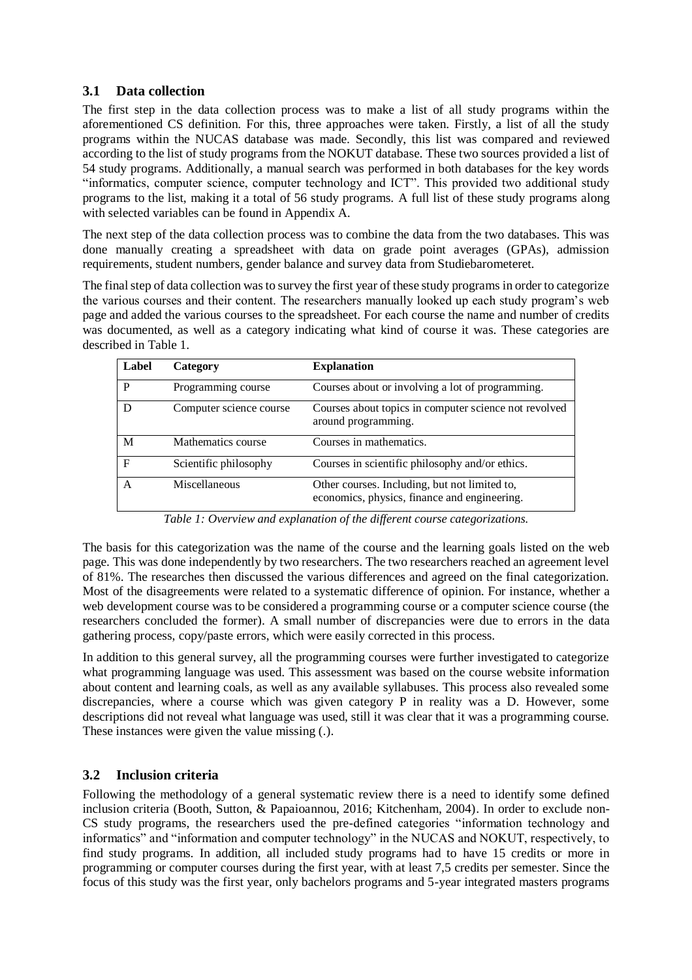#### **3.1 Data collection**

The first step in the data collection process was to make a list of all study programs within the aforementioned CS definition. For this, three approaches were taken. Firstly, a list of all the study programs within the NUCAS database was made. Secondly, this list was compared and reviewed according to the list of study programs from the NOKUT database. These two sources provided a list of 54 study programs. Additionally, a manual search was performed in both databases for the key words "informatics, computer science, computer technology and ICT". This provided two additional study programs to the list, making it a total of 56 study programs. A full list of these study programs along with selected variables can be found in Appendix A.

The next step of the data collection process was to combine the data from the two databases. This was done manually creating a spreadsheet with data on grade point averages (GPAs), admission requirements, student numbers, gender balance and survey data from Studiebarometeret.

The final step of data collection was to survey the first year of these study programs in order to categorize the various courses and their content. The researchers manually looked up each study program's web page and added the various courses to the spreadsheet. For each course the name and number of credits was documented, as well as a category indicating what kind of course it was. These categories are described in Table 1.

| Label | Category                | <b>Explanation</b>                                                                            |
|-------|-------------------------|-----------------------------------------------------------------------------------------------|
| P     | Programming course      | Courses about or involving a lot of programming.                                              |
|       | Computer science course | Courses about topics in computer science not revolved<br>around programming.                  |
| M     | Mathematics course      | Courses in mathematics.                                                                       |
| F     | Scientific philosophy   | Courses in scientific philosophy and/or ethics.                                               |
| A     | Miscellaneous           | Other courses. Including, but not limited to,<br>economics, physics, finance and engineering. |

*Table 1: Overview and explanation of the different course categorizations.* 

The basis for this categorization was the name of the course and the learning goals listed on the web page. This was done independently by two researchers. The two researchers reached an agreement level of 81%. The researches then discussed the various differences and agreed on the final categorization. Most of the disagreements were related to a systematic difference of opinion. For instance, whether a web development course was to be considered a programming course or a computer science course (the researchers concluded the former). A small number of discrepancies were due to errors in the data gathering process, copy/paste errors, which were easily corrected in this process.

In addition to this general survey, all the programming courses were further investigated to categorize what programming language was used. This assessment was based on the course website information about content and learning coals, as well as any available syllabuses. This process also revealed some discrepancies, where a course which was given category P in reality was a D. However, some descriptions did not reveal what language was used, still it was clear that it was a programming course. These instances were given the value missing (.).

### **3.2 Inclusion criteria**

Following the methodology of a general systematic review there is a need to identify some defined inclusion criteria (Booth, Sutton, & Papaioannou, 2016; Kitchenham, 2004). In order to exclude non-CS study programs, the researchers used the pre-defined categories "information technology and informatics" and "information and computer technology" in the NUCAS and NOKUT, respectively, to find study programs. In addition, all included study programs had to have 15 credits or more in programming or computer courses during the first year, with at least 7,5 credits per semester. Since the focus of this study was the first year, only bachelors programs and 5-year integrated masters programs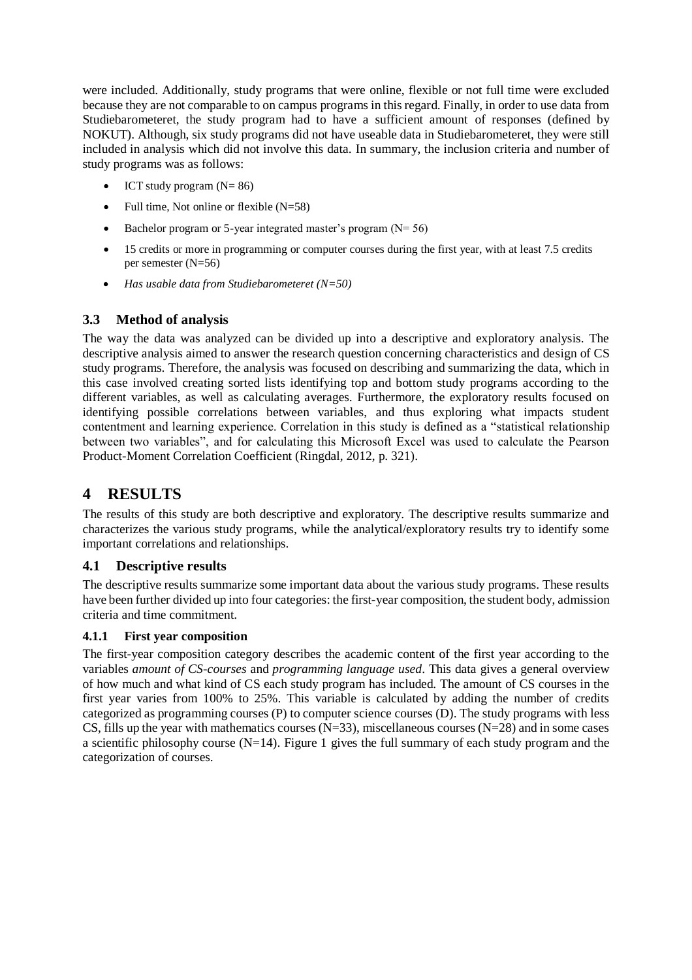were included. Additionally, study programs that were online, flexible or not full time were excluded because they are not comparable to on campus programs in this regard. Finally, in order to use data from Studiebarometeret, the study program had to have a sufficient amount of responses (defined by NOKUT). Although, six study programs did not have useable data in Studiebarometeret, they were still included in analysis which did not involve this data. In summary, the inclusion criteria and number of study programs was as follows:

- ICT study program  $(N= 86)$
- Full time, Not online or flexible  $(N=58)$
- Bachelor program or 5-year integrated master's program  $(N= 56)$
- 15 credits or more in programming or computer courses during the first year, with at least 7.5 credits per semester (N=56)
- *Has usable data from Studiebarometeret (N=50)*

## **3.3 Method of analysis**

The way the data was analyzed can be divided up into a descriptive and exploratory analysis. The descriptive analysis aimed to answer the research question concerning characteristics and design of CS study programs. Therefore, the analysis was focused on describing and summarizing the data, which in this case involved creating sorted lists identifying top and bottom study programs according to the different variables, as well as calculating averages. Furthermore, the exploratory results focused on identifying possible correlations between variables, and thus exploring what impacts student contentment and learning experience. Correlation in this study is defined as a "statistical relationship between two variables", and for calculating this Microsoft Excel was used to calculate the Pearson Product-Moment Correlation Coefficient (Ringdal, 2012, p. 321).

# **4 RESULTS**

The results of this study are both descriptive and exploratory. The descriptive results summarize and characterizes the various study programs, while the analytical/exploratory results try to identify some important correlations and relationships.

#### **4.1 Descriptive results**

The descriptive results summarize some important data about the various study programs. These results have been further divided up into four categories: the first-year composition, the student body, admission criteria and time commitment.

#### **4.1.1 First year composition**

The first-year composition category describes the academic content of the first year according to the variables *amount of CS-courses* and *programming language used*. This data gives a general overview of how much and what kind of CS each study program has included. The amount of CS courses in the first year varies from 100% to 25%. This variable is calculated by adding the number of credits categorized as programming courses (P) to computer science courses (D). The study programs with less CS, fills up the year with mathematics courses  $(N=33)$ , miscellaneous courses  $(N=28)$  and in some cases a scientific philosophy course  $(N=14)$ . Figure 1 gives the full summary of each study program and the categorization of courses.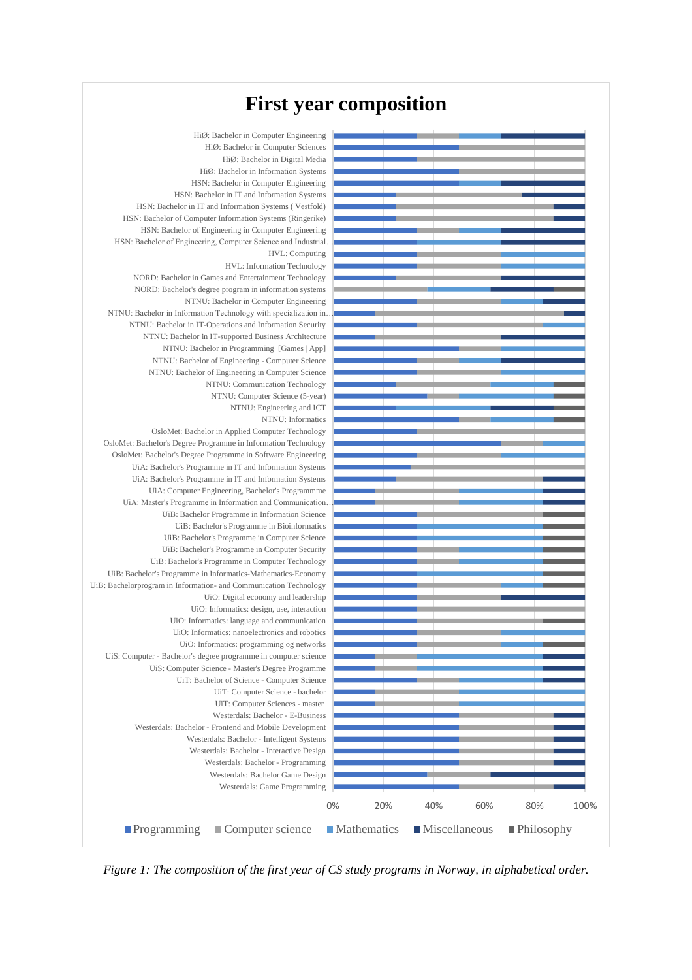# **First year composition**



*Figure 1: The composition of the first year of CS study programs in Norway, in alphabetical order.*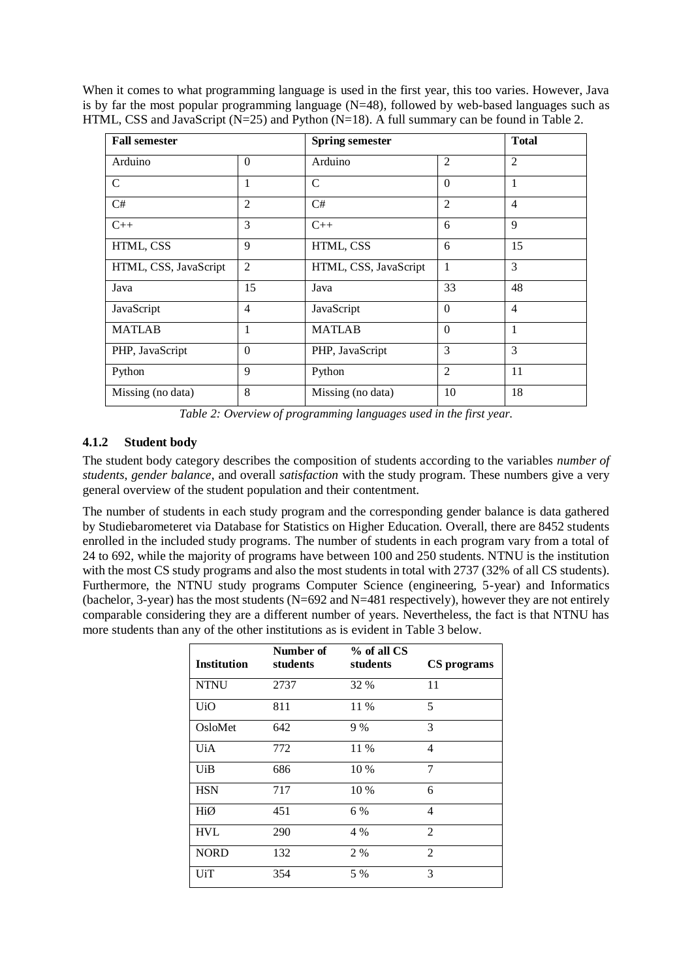When it comes to what programming language is used in the first year, this too varies. However, Java is by far the most popular programming language  $(N=48)$ , followed by web-based languages such as HTML, CSS and JavaScript (N=25) and Python (N=18). A full summary can be found in Table 2.

| <b>Fall semester</b>  |                | <b>Spring semester</b> |                | <b>Total</b>   |
|-----------------------|----------------|------------------------|----------------|----------------|
| Arduino               | $\Omega$       | Arduino                | $\overline{2}$ | $\overline{2}$ |
| $\mathcal{C}$         | 1              | $\mathcal{C}$          | $\Omega$       | 1              |
| C#                    | $\overline{2}$ | C#                     | $\overline{2}$ | $\overline{4}$ |
| $C++$                 | 3              | $C++$                  | 6              | 9              |
| HTML, CSS             | 9              | HTML, CSS              | 6              | 15             |
| HTML, CSS, JavaScript | $\overline{2}$ | HTML, CSS, JavaScript  | 1              | 3              |
| Java                  | 15             | Java                   | 33             | 48             |
| JavaScript            | 4              | JavaScript             | $\Omega$       | $\overline{4}$ |
| <b>MATLAB</b>         | 1              | <b>MATLAB</b>          | $\Omega$       | 1              |
| PHP, JavaScript       | $\Omega$       | PHP, JavaScript        | 3              | 3              |
| Python                | 9              | Python                 | $\overline{2}$ | 11             |
| Missing (no data)     | 8              | Missing (no data)      | 10             | 18             |

*Table 2: Overview of programming languages used in the first year.* 

## **4.1.2 Student body**

The student body category describes the composition of students according to the variables *number of students*, *gender balance*, and overall *satisfaction* with the study program. These numbers give a very general overview of the student population and their contentment.

The number of students in each study program and the corresponding gender balance is data gathered by Studiebarometeret via Database for Statistics on Higher Education. Overall, there are 8452 students enrolled in the included study programs. The number of students in each program vary from a total of 24 to 692, while the majority of programs have between 100 and 250 students. NTNU is the institution with the most CS study programs and also the most students in total with 2737 (32% of all CS students). Furthermore, the NTNU study programs Computer Science (engineering, 5-year) and Informatics (bachelor, 3-year) has the most students (N=692 and N=481 respectively), however they are not entirely comparable considering they are a different number of years. Nevertheless, the fact is that NTNU has more students than any of the other institutions as is evident in Table 3 below.

| <b>Institution</b> | Number of<br>students | % of all CS<br>students | CS programs    |
|--------------------|-----------------------|-------------------------|----------------|
| <b>NTNU</b>        | 2737                  | 32 %                    | 11             |
| <b>UiO</b>         | 811                   | 11 %                    | 5              |
| OsloMet            | 642                   | 9%                      | 3              |
| UiA                | 772                   | 11 %                    | 4              |
| UiB                | 686                   | 10 %                    | 7              |
| <b>HSN</b>         | 717                   | 10 %                    | 6              |
| HiØ                | 451                   | 6 %                     | 4              |
| <b>HVL</b>         | 290                   | 4 %                     | 2              |
| <b>NORD</b>        | 132                   | 2 %                     | $\overline{2}$ |
| UiT                | 354                   | 5 %                     | 3              |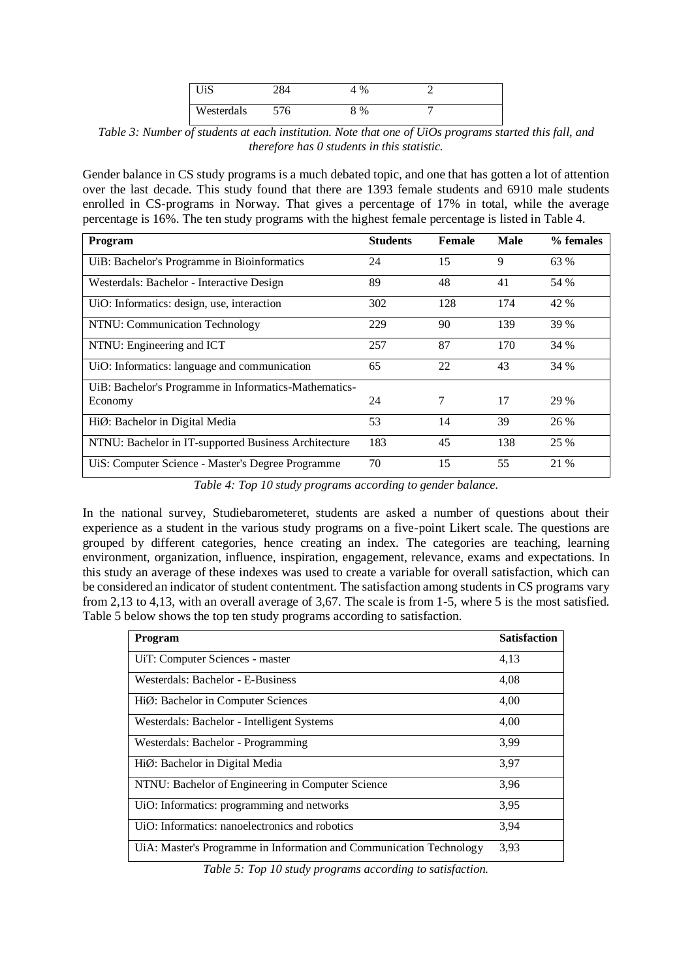| UiS        | 284 | %    |  |
|------------|-----|------|--|
| Westerdals | 576 | $\%$ |  |

*Table 3: Number of students at each institution. Note that one of UiOs programs started this fall, and therefore has 0 students in this statistic.* 

Gender balance in CS study programs is a much debated topic, and one that has gotten a lot of attention over the last decade. This study found that there are 1393 female students and 6910 male students enrolled in CS-programs in Norway. That gives a percentage of 17% in total, while the average percentage is 16%. The ten study programs with the highest female percentage is listed in Table 4.

| Program                                               | <b>Students</b> | Female | Male | % females |
|-------------------------------------------------------|-----------------|--------|------|-----------|
| UiB: Bachelor's Programme in Bioinformatics           | 24              | 15     | 9    | 63 %      |
| Westerdals: Bachelor - Interactive Design             | 89              | 48     | 41   | 54 %      |
| UiO: Informatics: design, use, interaction            | 302             | 128    | 174  | 42 %      |
| NTNU: Communication Technology                        | 229             | 90     | 139  | 39 %      |
| NTNU: Engineering and ICT                             | 257             | 87     | 170  | 34 %      |
| UiO: Informatics: language and communication          | 65              | 22     | 43   | 34 %      |
| UiB: Bachelor's Programme in Informatics-Mathematics- |                 |        |      |           |
| Economy                                               | 24              | 7      | 17   | 29 %      |
| HiØ: Bachelor in Digital Media                        | 53              | 14     | 39   | 26 %      |
| NTNU: Bachelor in IT-supported Business Architecture  | 183             | 45     | 138  | 25 %      |
| UiS: Computer Science - Master's Degree Programme     | 70              | 15     | 55   | 21 %      |

*Table 4: Top 10 study programs according to gender balance.*

In the national survey, Studiebarometeret, students are asked a number of questions about their experience as a student in the various study programs on a five-point Likert scale. The questions are grouped by different categories, hence creating an index. The categories are teaching, learning environment, organization, influence, inspiration, engagement, relevance, exams and expectations. In this study an average of these indexes was used to create a variable for overall satisfaction, which can be considered an indicator of student contentment. The satisfaction among students in CS programs vary from 2,13 to 4,13, with an overall average of 3,67. The scale is from 1-5, where 5 is the most satisfied. Table 5 below shows the top ten study programs according to satisfaction.

| Program                                                             | <b>Satisfaction</b> |
|---------------------------------------------------------------------|---------------------|
| UiT: Computer Sciences - master                                     | 4,13                |
| Westerdals: Bachelor - E-Business                                   | 4,08                |
| HiØ: Bachelor in Computer Sciences                                  | 4,00                |
| Westerdals: Bachelor - Intelligent Systems                          | 4,00                |
| Westerdals: Bachelor - Programming                                  | 3.99                |
| HiØ: Bachelor in Digital Media                                      | 3,97                |
| NTNU: Bachelor of Engineering in Computer Science                   | 3,96                |
| UiO: Informatics: programming and networks                          | 3.95                |
| UiO: Informatics: nanoelectronics and robotics                      | 3.94                |
| UiA: Master's Programme in Information and Communication Technology | 3,93                |

*Table 5: Top 10 study programs according to satisfaction.*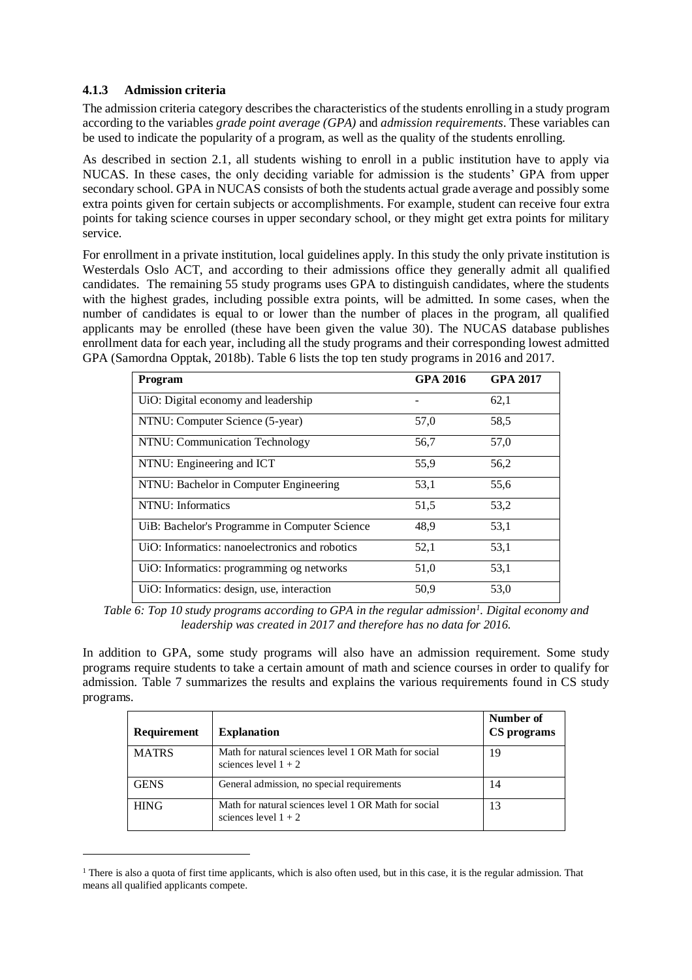#### **4.1.3 Admission criteria**

l

The admission criteria category describes the characteristics of the students enrolling in a study program according to the variables *grade point average (GPA)* and *admission requirements*. These variables can be used to indicate the popularity of a program, as well as the quality of the students enrolling.

As described in section 2.1, all students wishing to enroll in a public institution have to apply via NUCAS. In these cases, the only deciding variable for admission is the students' GPA from upper secondary school. GPA in NUCAS consists of both the students actual grade average and possibly some extra points given for certain subjects or accomplishments. For example, student can receive four extra points for taking science courses in upper secondary school, or they might get extra points for military service.

For enrollment in a private institution, local guidelines apply. In this study the only private institution is Westerdals Oslo ACT, and according to their admissions office they generally admit all qualified candidates. The remaining 55 study programs uses GPA to distinguish candidates, where the students with the highest grades, including possible extra points, will be admitted. In some cases, when the number of candidates is equal to or lower than the number of places in the program, all qualified applicants may be enrolled (these have been given the value 30). The NUCAS database publishes enrollment data for each year, including all the study programs and their corresponding lowest admitted GPA (Samordna Opptak, 2018b). Table 6 lists the top ten study programs in 2016 and 2017.

| Program                                        | <b>GPA 2016</b> | <b>GPA 2017</b> |
|------------------------------------------------|-----------------|-----------------|
| UiO: Digital economy and leadership            |                 | 62,1            |
| NTNU: Computer Science (5-year)                | 57,0            | 58,5            |
| NTNU: Communication Technology                 | 56,7            | 57,0            |
| NTNU: Engineering and ICT                      | 55,9            | 56,2            |
| NTNU: Bachelor in Computer Engineering         | 53,1            | 55,6            |
| NTNU: Informatics                              | 51,5            | 53,2            |
| UiB: Bachelor's Programme in Computer Science  | 48.9            | 53,1            |
| UiO: Informatics: nanoelectronics and robotics | 52,1            | 53,1            |
| UiO: Informatics: programming og networks      | 51,0            | 53,1            |
| UiO: Informatics: design, use, interaction     | 50,9            | 53,0            |

*Table 6: Top 10 study programs according to GPA in the regular admission<sup>1</sup> . Digital economy and leadership was created in 2017 and therefore has no data for 2016.*

In addition to GPA, some study programs will also have an admission requirement. Some study programs require students to take a certain amount of math and science courses in order to qualify for admission. Table 7 summarizes the results and explains the various requirements found in CS study programs.

| Requirement  | <b>Explanation</b>                                                             | Number of<br>CS programs |
|--------------|--------------------------------------------------------------------------------|--------------------------|
| <b>MATRS</b> | Math for natural sciences level 1 OR Math for social<br>sciences level $1 + 2$ | 19                       |
| <b>GENS</b>  | General admission, no special requirements                                     | 14                       |
| <b>HING</b>  | Math for natural sciences level 1 OR Math for social<br>sciences level $1 + 2$ | 13                       |

<sup>&</sup>lt;sup>1</sup> There is also a quota of first time applicants, which is also often used, but in this case, it is the regular admission. That means all qualified applicants compete.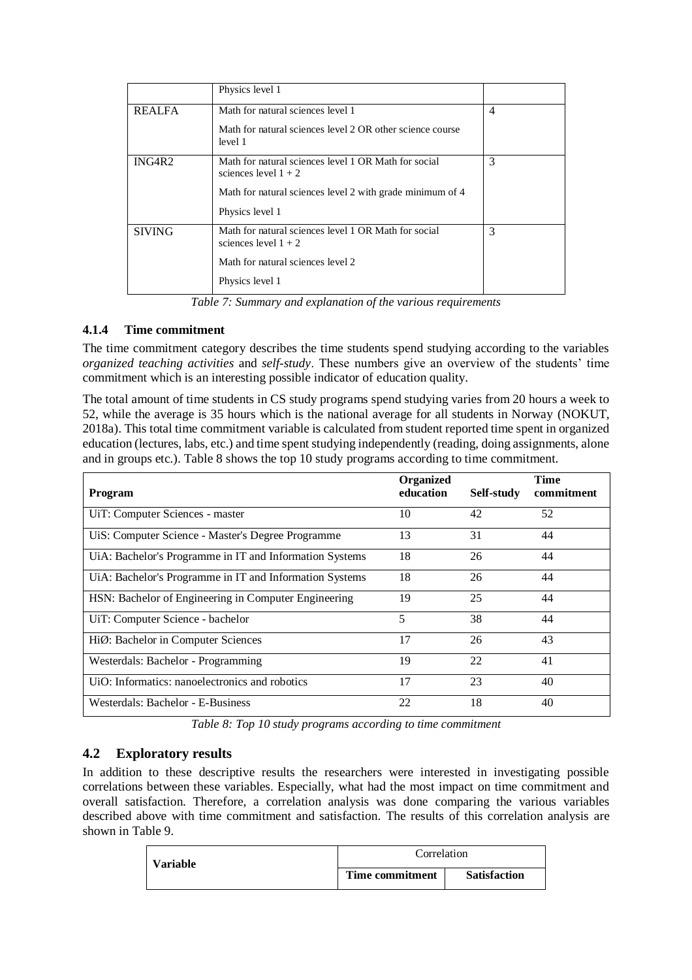|               | Physics level 1                                                                |                |
|---------------|--------------------------------------------------------------------------------|----------------|
| <b>REALFA</b> | Math for natural sciences level 1                                              | $\overline{4}$ |
|               | Math for natural sciences level 2 OR other science course<br>level 1           |                |
| ING4R2        | Math for natural sciences level 1 OR Math for social<br>sciences level $1 + 2$ | 3              |
|               | Math for natural sciences level 2 with grade minimum of 4                      |                |
|               | Physics level 1                                                                |                |
| <b>SIVING</b> | Math for natural sciences level 1 OR Math for social<br>sciences level $1 + 2$ | 3              |
|               | Math for natural sciences level 2                                              |                |
|               | Physics level 1                                                                |                |

*Table 7: Summary and explanation of the various requirements*

#### **4.1.4 Time commitment**

The time commitment category describes the time students spend studying according to the variables *organized teaching activities* and *self-study*. These numbers give an overview of the students' time commitment which is an interesting possible indicator of education quality.

The total amount of time students in CS study programs spend studying varies from 20 hours a week to 52, while the average is 35 hours which is the national average for all students in Norway (NOKUT, 2018a). This total time commitment variable is calculated from student reported time spent in organized education (lectures, labs, etc.) and time spent studying independently (reading, doing assignments, alone and in groups etc.). Table 8 shows the top 10 study programs according to time commitment.

| <b>Program</b>                                          | Organized<br>education | Self-study | Time<br>commitment |
|---------------------------------------------------------|------------------------|------------|--------------------|
| UiT: Computer Sciences - master                         | 10                     | 42         | 52                 |
| UiS: Computer Science - Master's Degree Programme       | 13                     | 31         | 44                 |
| UiA: Bachelor's Programme in IT and Information Systems | 18                     | 26         | 44                 |
| UiA: Bachelor's Programme in IT and Information Systems | 18                     | 26         | 44                 |
| HSN: Bachelor of Engineering in Computer Engineering    | 19                     | 25         | 44                 |
| UiT: Computer Science - bachelor                        | 5                      | 38         | 44                 |
| HiØ: Bachelor in Computer Sciences                      | 17                     | 26         | 43                 |
| Westerdals: Bachelor - Programming                      | 19                     | 22         | 41                 |
| UiO: Informatics: nanoelectronics and robotics          | 17                     | 23         | 40                 |
| Westerdals: Bachelor - E-Business                       | 22                     | 18         | 40                 |

*Table 8: Top 10 study programs according to time commitment*

### **4.2 Exploratory results**

In addition to these descriptive results the researchers were interested in investigating possible correlations between these variables. Especially, what had the most impact on time commitment and overall satisfaction. Therefore, a correlation analysis was done comparing the various variables described above with time commitment and satisfaction. The results of this correlation analysis are shown in Table 9.

| <b>Variable</b> | Correlation     |                     |  |
|-----------------|-----------------|---------------------|--|
|                 | Time commitment | <b>Satisfaction</b> |  |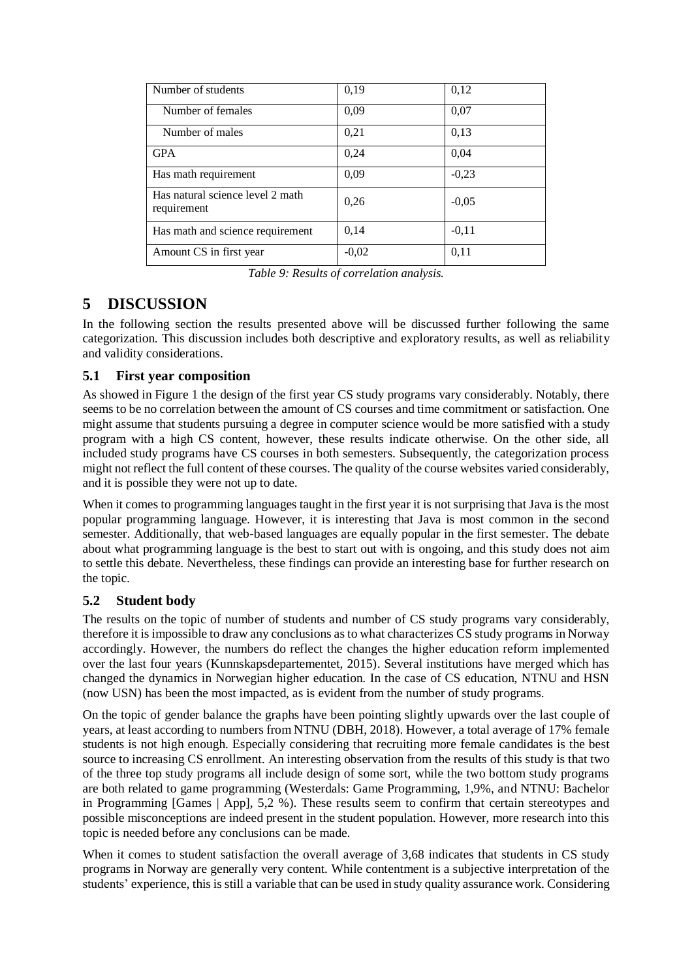| Number of students                              | 0,19    | 0,12    |
|-------------------------------------------------|---------|---------|
| Number of females                               | 0,09    | 0,07    |
| Number of males                                 | 0,21    | 0.13    |
| <b>GPA</b>                                      | 0,24    | 0,04    |
| Has math requirement                            | 0,09    | $-0,23$ |
| Has natural science level 2 math<br>requirement | 0.26    | $-0.05$ |
| Has math and science requirement                | 0,14    | $-0.11$ |
| Amount CS in first year                         | $-0.02$ | 0,11    |

*Table 9: Results of correlation analysis.* 

# **5 DISCUSSION**

In the following section the results presented above will be discussed further following the same categorization. This discussion includes both descriptive and exploratory results, as well as reliability and validity considerations.

## **5.1 First year composition**

As showed in Figure 1 the design of the first year CS study programs vary considerably. Notably, there seems to be no correlation between the amount of CS courses and time commitment or satisfaction. One might assume that students pursuing a degree in computer science would be more satisfied with a study program with a high CS content, however, these results indicate otherwise. On the other side, all included study programs have CS courses in both semesters. Subsequently, the categorization process might not reflect the full content of these courses. The quality of the course websites varied considerably, and it is possible they were not up to date.

When it comes to programming languages taught in the first year it is not surprising that Java is the most popular programming language. However, it is interesting that Java is most common in the second semester. Additionally, that web-based languages are equally popular in the first semester. The debate about what programming language is the best to start out with is ongoing, and this study does not aim to settle this debate. Nevertheless, these findings can provide an interesting base for further research on the topic.

# **5.2 Student body**

The results on the topic of number of students and number of CS study programs vary considerably, therefore it is impossible to draw any conclusions as to what characterizes CS study programs in Norway accordingly. However, the numbers do reflect the changes the higher education reform implemented over the last four years (Kunnskapsdepartementet, 2015). Several institutions have merged which has changed the dynamics in Norwegian higher education. In the case of CS education, NTNU and HSN (now USN) has been the most impacted, as is evident from the number of study programs.

On the topic of gender balance the graphs have been pointing slightly upwards over the last couple of years, at least according to numbers from NTNU (DBH, 2018). However, a total average of 17% female students is not high enough. Especially considering that recruiting more female candidates is the best source to increasing CS enrollment. An interesting observation from the results of this study is that two of the three top study programs all include design of some sort, while the two bottom study programs are both related to game programming (Westerdals: Game Programming, 1,9%, and NTNU: Bachelor in Programming [Games | App], 5,2 %). These results seem to confirm that certain stereotypes and possible misconceptions are indeed present in the student population. However, more research into this topic is needed before any conclusions can be made.

When it comes to student satisfaction the overall average of 3,68 indicates that students in CS study programs in Norway are generally very content. While contentment is a subjective interpretation of the students' experience, this is still a variable that can be used in study quality assurance work. Considering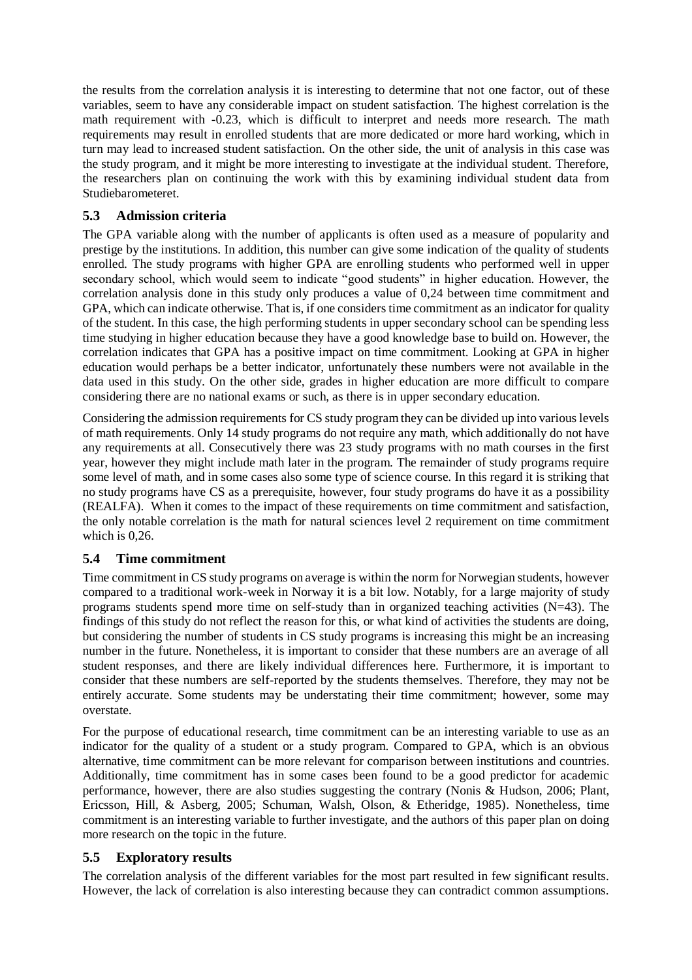the results from the correlation analysis it is interesting to determine that not one factor, out of these variables, seem to have any considerable impact on student satisfaction. The highest correlation is the math requirement with -0.23, which is difficult to interpret and needs more research. The math requirements may result in enrolled students that are more dedicated or more hard working, which in turn may lead to increased student satisfaction. On the other side, the unit of analysis in this case was the study program, and it might be more interesting to investigate at the individual student. Therefore, the researchers plan on continuing the work with this by examining individual student data from Studiebarometeret.

### **5.3 Admission criteria**

The GPA variable along with the number of applicants is often used as a measure of popularity and prestige by the institutions. In addition, this number can give some indication of the quality of students enrolled. The study programs with higher GPA are enrolling students who performed well in upper secondary school, which would seem to indicate "good students" in higher education. However, the correlation analysis done in this study only produces a value of 0,24 between time commitment and GPA, which can indicate otherwise. That is, if one considers time commitment as an indicator for quality of the student. In this case, the high performing students in upper secondary school can be spending less time studying in higher education because they have a good knowledge base to build on. However, the correlation indicates that GPA has a positive impact on time commitment. Looking at GPA in higher education would perhaps be a better indicator, unfortunately these numbers were not available in the data used in this study. On the other side, grades in higher education are more difficult to compare considering there are no national exams or such, as there is in upper secondary education.

Considering the admission requirements for CS study program they can be divided up into various levels of math requirements. Only 14 study programs do not require any math, which additionally do not have any requirements at all. Consecutively there was 23 study programs with no math courses in the first year, however they might include math later in the program. The remainder of study programs require some level of math, and in some cases also some type of science course. In this regard it is striking that no study programs have CS as a prerequisite, however, four study programs do have it as a possibility (REALFA). When it comes to the impact of these requirements on time commitment and satisfaction, the only notable correlation is the math for natural sciences level 2 requirement on time commitment which is 0,26.

### **5.4 Time commitment**

Time commitment in CS study programs on average is within the norm for Norwegian students, however compared to a traditional work-week in Norway it is a bit low. Notably, for a large majority of study programs students spend more time on self-study than in organized teaching activities  $(N=43)$ . The findings of this study do not reflect the reason for this, or what kind of activities the students are doing, but considering the number of students in CS study programs is increasing this might be an increasing number in the future. Nonetheless, it is important to consider that these numbers are an average of all student responses, and there are likely individual differences here. Furthermore, it is important to consider that these numbers are self-reported by the students themselves. Therefore, they may not be entirely accurate. Some students may be understating their time commitment; however, some may overstate.

For the purpose of educational research, time commitment can be an interesting variable to use as an indicator for the quality of a student or a study program. Compared to GPA, which is an obvious alternative, time commitment can be more relevant for comparison between institutions and countries. Additionally, time commitment has in some cases been found to be a good predictor for academic performance, however, there are also studies suggesting the contrary (Nonis & Hudson, 2006; Plant, Ericsson, Hill, & Asberg, 2005; Schuman, Walsh, Olson, & Etheridge, 1985). Nonetheless, time commitment is an interesting variable to further investigate, and the authors of this paper plan on doing more research on the topic in the future.

### **5.5 Exploratory results**

The correlation analysis of the different variables for the most part resulted in few significant results. However, the lack of correlation is also interesting because they can contradict common assumptions.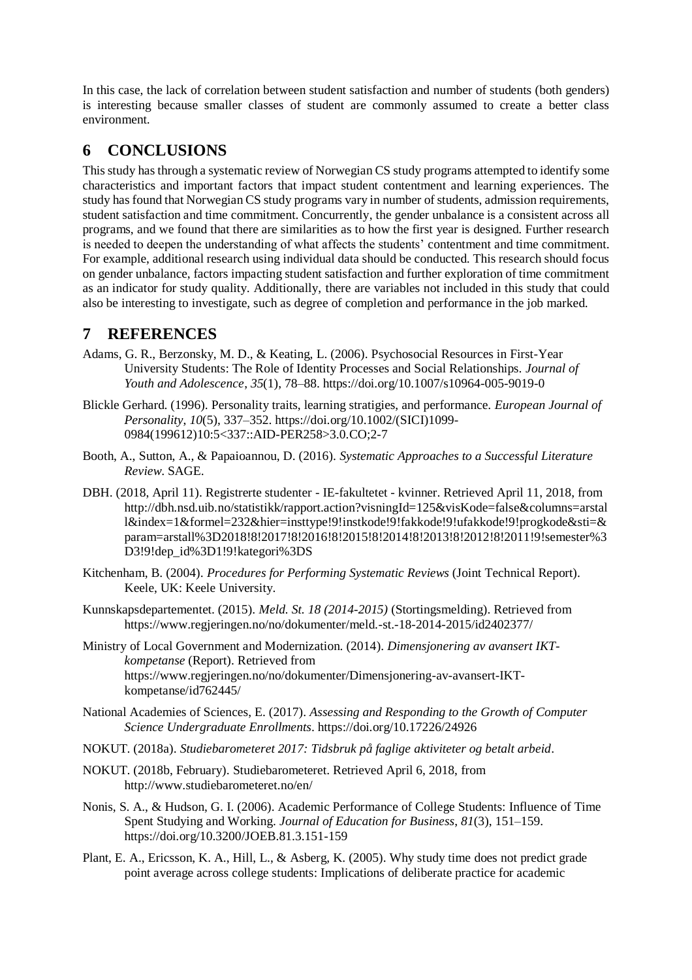In this case, the lack of correlation between student satisfaction and number of students (both genders) is interesting because smaller classes of student are commonly assumed to create a better class environment.

# **6 CONCLUSIONS**

This study has through a systematic review of Norwegian CS study programs attempted to identify some characteristics and important factors that impact student contentment and learning experiences. The study has found that Norwegian CS study programs vary in number of students, admission requirements, student satisfaction and time commitment. Concurrently, the gender unbalance is a consistent across all programs, and we found that there are similarities as to how the first year is designed. Further research is needed to deepen the understanding of what affects the students' contentment and time commitment. For example, additional research using individual data should be conducted. This research should focus on gender unbalance, factors impacting student satisfaction and further exploration of time commitment as an indicator for study quality. Additionally, there are variables not included in this study that could also be interesting to investigate, such as degree of completion and performance in the job marked.

# **7 REFERENCES**

- Adams, G. R., Berzonsky, M. D., & Keating, L. (2006). Psychosocial Resources in First-Year University Students: The Role of Identity Processes and Social Relationships. *Journal of Youth and Adolescence*, *35*(1), 78–88. https://doi.org/10.1007/s10964-005-9019-0
- Blickle Gerhard. (1996). Personality traits, learning stratigies, and performance. *European Journal of Personality*, *10*(5), 337–352. https://doi.org/10.1002/(SICI)1099- 0984(199612)10:5<337::AID-PER258>3.0.CO;2-7
- Booth, A., Sutton, A., & Papaioannou, D. (2016). *Systematic Approaches to a Successful Literature Review*. SAGE.
- DBH. (2018, April 11). Registrerte studenter IE-fakultetet kvinner. Retrieved April 11, 2018, from http://dbh.nsd.uib.no/statistikk/rapport.action?visningId=125&visKode=false&columns=arstal l&index=1&formel=232&hier=insttype!9!instkode!9!fakkode!9!ufakkode!9!progkode&sti=& param=arstall%3D2018!8!2017!8!2016!8!2015!8!2014!8!2013!8!2012!8!2011!9!semester%3 D3!9!dep\_id%3D1!9!kategori%3DS
- Kitchenham, B. (2004). *Procedures for Performing Systematic Reviews* (Joint Technical Report). Keele, UK: Keele University.
- Kunnskapsdepartementet. (2015). *Meld. St. 18 (2014-2015)* (Stortingsmelding). Retrieved from https://www.regjeringen.no/no/dokumenter/meld.-st.-18-2014-2015/id2402377/
- Ministry of Local Government and Modernization. (2014). *Dimensjonering av avansert IKTkompetanse* (Report). Retrieved from https://www.regjeringen.no/no/dokumenter/Dimensjonering-av-avansert-IKTkompetanse/id762445/
- National Academies of Sciences, E. (2017). *Assessing and Responding to the Growth of Computer Science Undergraduate Enrollments*. https://doi.org/10.17226/24926
- NOKUT. (2018a). *Studiebarometeret 2017: Tidsbruk på faglige aktiviteter og betalt arbeid*.
- NOKUT. (2018b, February). Studiebarometeret. Retrieved April 6, 2018, from http://www.studiebarometeret.no/en/
- Nonis, S. A., & Hudson, G. I. (2006). Academic Performance of College Students: Influence of Time Spent Studying and Working. *Journal of Education for Business*, *81*(3), 151–159. https://doi.org/10.3200/JOEB.81.3.151-159
- Plant, E. A., Ericsson, K. A., Hill, L., & Asberg, K. (2005). Why study time does not predict grade point average across college students: Implications of deliberate practice for academic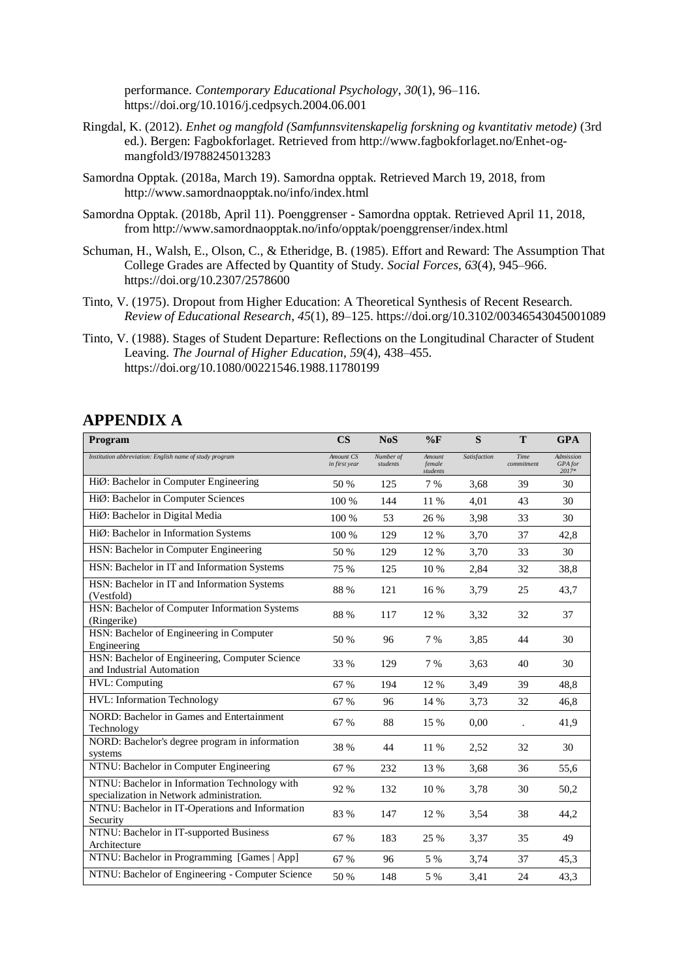performance. *Contemporary Educational Psychology*, *30*(1), 96–116. https://doi.org/10.1016/j.cedpsych.2004.06.001

- Ringdal, K. (2012). *Enhet og mangfold (Samfunnsvitenskapelig forskning og kvantitativ metode)* (3rd ed.). Bergen: Fagbokforlaget. Retrieved from http://www.fagbokforlaget.no/Enhet-ogmangfold3/I9788245013283
- Samordna Opptak. (2018a, March 19). Samordna opptak. Retrieved March 19, 2018, from http://www.samordnaopptak.no/info/index.html
- Samordna Opptak. (2018b, April 11). Poenggrenser Samordna opptak. Retrieved April 11, 2018, from http://www.samordnaopptak.no/info/opptak/poenggrenser/index.html
- Schuman, H., Walsh, E., Olson, C., & Etheridge, B. (1985). Effort and Reward: The Assumption That College Grades are Affected by Quantity of Study. *Social Forces*, *63*(4), 945–966. https://doi.org/10.2307/2578600
- Tinto, V. (1975). Dropout from Higher Education: A Theoretical Synthesis of Recent Research. *Review of Educational Research*, *45*(1), 89–125. https://doi.org/10.3102/00346543045001089
- Tinto, V. (1988). Stages of Student Departure: Reflections on the Longitudinal Character of Student Leaving. *The Journal of Higher Education*, *59*(4), 438–455. https://doi.org/10.1080/00221546.1988.11780199

# **APPENDIX A**

| Program                                                                                    | <b>CS</b>                  | <b>NoS</b>            | $\%$ F                       | S            | T                  | <b>GPA</b>                    |
|--------------------------------------------------------------------------------------------|----------------------------|-----------------------|------------------------------|--------------|--------------------|-------------------------------|
| Institution abbreviation: English name of study program                                    | Amount CS<br>in first year | Number of<br>students | Amount<br>female<br>students | Satisfaction | Time<br>commitment | Admission<br>GPA for<br>2017* |
| HiØ: Bachelor in Computer Engineering                                                      | 50 %                       | 125                   | 7 %                          | 3.68         | 39                 | 30                            |
| HiØ: Bachelor in Computer Sciences                                                         | 100 %                      | 144                   | 11 %                         | 4,01         | 43                 | 30                            |
| HiØ: Bachelor in Digital Media                                                             | 100 %                      | 53                    | 26 %                         | 3,98         | 33                 | 30                            |
| HiØ: Bachelor in Information Systems                                                       | 100 %                      | 129                   | 12 %                         | 3,70         | 37                 | 42,8                          |
| HSN: Bachelor in Computer Engineering                                                      | 50 %                       | 129                   | 12 %                         | 3,70         | 33                 | 30                            |
| HSN: Bachelor in IT and Information Systems                                                | 75 %                       | 125                   | 10 %                         | 2,84         | 32                 | 38,8                          |
| HSN: Bachelor in IT and Information Systems<br>(Vestfold)                                  | 88 %                       | 121                   | 16 %                         | 3,79         | 25                 | 43,7                          |
| HSN: Bachelor of Computer Information Systems<br>(Ringerike)                               | 88 %                       | 117                   | 12 %                         | 3,32         | 32                 | 37                            |
| HSN: Bachelor of Engineering in Computer<br>Engineering                                    | 50 %                       | 96                    | 7 %                          | 3,85         | 44                 | 30                            |
| HSN: Bachelor of Engineering, Computer Science<br>and Industrial Automation                | 33 %                       | 129                   | 7 %                          | 3,63         | 40                 | 30                            |
| HVL: Computing                                                                             | 67 %                       | 194                   | 12 %                         | 3,49         | 39                 | 48,8                          |
| HVL: Information Technology                                                                | 67 %                       | 96                    | 14 %                         | 3,73         | 32                 | 46,8                          |
| NORD: Bachelor in Games and Entertainment<br>Technology                                    | 67 %                       | 88                    | 15 %                         | 0,00         |                    | 41,9                          |
| NORD: Bachelor's degree program in information<br>systems                                  | 38 %                       | 44                    | 11 %                         | 2,52         | 32                 | 30                            |
| NTNU: Bachelor in Computer Engineering                                                     | 67 %                       | 232                   | 13 %                         | 3,68         | 36                 | 55,6                          |
| NTNU: Bachelor in Information Technology with<br>specialization in Network administration. | 92 %                       | 132                   | 10 %                         | 3,78         | 30                 | 50,2                          |
| NTNU: Bachelor in IT-Operations and Information<br>Security                                | 83 %                       | 147                   | 12 %                         | 3,54         | 38                 | 44,2                          |
| NTNU: Bachelor in IT-supported Business<br>Architecture                                    | 67 %                       | 183                   | 25 %                         | 3,37         | 35                 | 49                            |
| NTNU: Bachelor in Programming [Games   App]                                                | 67 %                       | 96                    | 5 %                          | 3,74         | 37                 | 45,3                          |
| NTNU: Bachelor of Engineering - Computer Science                                           | 50 %                       | 148                   | 5 %                          | 3,41         | 24                 | 43,3                          |